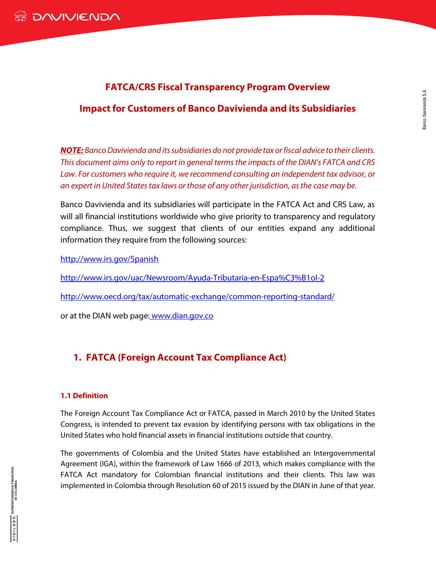# **FATCA/CRS Fiscal Transparency Program Overview**

# **Impact for Customers of Banco Davivienda and its Subsidiaries**

*NOTE: Banco Davivienda and its subsidiaries do not provide tax or fiscal advice to their clients. This document aims only to report in general terms the impacts of the DIAN's FATCA and CRS Law. For customers who require it, we recommend consulting an independent tax advisor, or an expert in United States tax laws or those of any other jurisdiction, as the case may be.* 

Banco Davivienda and its subsidiaries will participate in the FATCA Act and CRS Law, as will all financial institutions worldwide who give priority to transparency and regulatory compliance. Thus, we suggest that clients of our entities expand any additional information they require from the following sources:

<http://www.irs.gov/Spanish>

<http://www.irs.gov/uac/Newsroom/Ayuda-Tributaria-en-Espa%C3%B1ol-2>

<http://www.oecd.org/tax/automatic-exchange/common-reporting-standard/>

or at the DIAN web page: www.dian.gov.co

# **1. FATCA (Foreign Account Tax Compliance Act)**

## **1.1 Definition**

The Foreign Account Tax Compliance Act or FATCA, passed in March 2010 by the United States Congress, is intended to prevent tax evasion by identifying persons with tax obligations in the United States who hold financial assets in financial institutions outside that country.

The governments of Colombia and the United States have established an Intergovernmental Agreement (IGA), within the framework of Law 1666 of 2013, which makes compliance with the FATCA Act mandatory for Colombian financial institutions and their clients. This law was implemented in Colombia through Resolution 60 of 2015 issued by the DIAN in June of that year.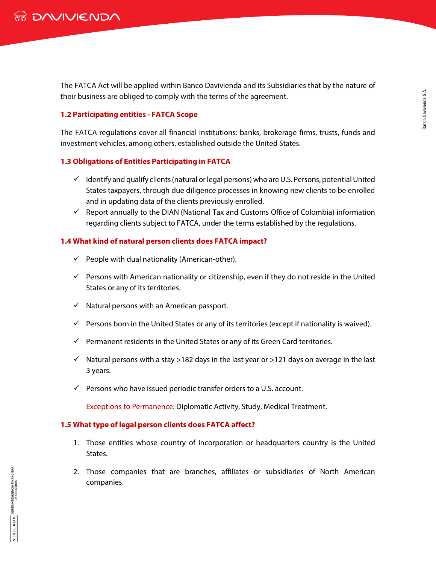The FATCA Act will be applied within Banco Davivienda and its Subsidiaries that by the nature of their business are obliged to comply with the terms of the agreement.

### **1.2 Participating entities - FATCA Scope**

The FATCA regulations cover all financial institutions: banks, brokerage firms, trusts, funds and investment vehicles, among others, established outside the United States.

### **1.3 Obligations of Entities Participating in FATCA**

- $\checkmark$  Identify and qualify clients (natural or legal persons) who are U.S. Persons, potential United States taxpayers, through due diligence processes in knowing new clients to be enrolled and in updating data of the clients previously enrolled.
- $\checkmark$  Report annually to the DIAN (National Tax and Customs Office of Colombia) information regarding clients subject to FATCA, under the terms established by the regulations.

## **1.4 What kind of natural person clients does FATCA impact?**

- $\checkmark$  People with dual nationality (American-other).
- $\checkmark$  Persons with American nationality or citizenship, even if they do not reside in the United States or any of its territories.
- $\checkmark$  Natural persons with an American passport.
- $\checkmark$  Persons born in the United States or any of its territories (except if nationality is waived).
- $\checkmark$  Permanent residents in the United States or any of its Green Card territories.
- $\checkmark$  Natural persons with a stay >182 days in the last year or >121 days on average in the last 3 years.
- $\checkmark$  Persons who have issued periodic transfer orders to a U.S. account.

Exceptions to Permanence: Diplomatic Activity, Study, Medical Treatment.

### **1.5 What type of legal person clients does FATCA affect?**

- 1. Those entities whose country of incorporation or headquarters country is the United States.
- 2. Those companies that are branches, affiliates or subsidiaries of North American companies.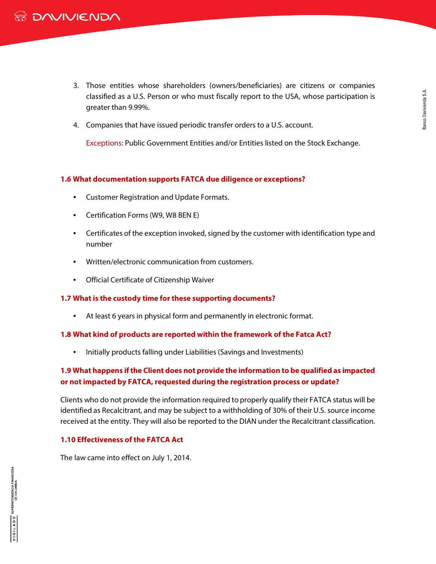- 3. Those entities whose shareholders (owners/beneficiaries) are citizens or companies classified as a U.S. Person or who must fiscally report to the USA, whose participation is greater than 9.99%.
- 4. Companies that have issued periodic transfer orders to a U.S. account.

Exceptions: Public Government Entities and/or Entities listed on the Stock Exchange.

### **1.6 What documentation supports FATCA due diligence or exceptions?**

- Customer Registration and Update Formats.
- Certification Forms (W9, W8 BEN E)
- Certificates of the exception invoked, signed by the customer with identification type and number
- Written/electronic communication from customers.
- Official Certificate of Citizenship Waiver

### **1.7 What is the custody time for these supporting documents?**

• At least 6 years in physical form and permanently in electronic format.

#### **1.8 What kind of products are reported within the framework of the Fatca Act?**

• Initially products falling under Liabilities (Savings and Investments)

# **1.9 What happens if the Client does not provide the information to be qualified as impacted or not impacted by FATCA, requested during the registration process or update?**

Clients who do not provide the information required to properly qualify their FATCA status will be identified as Recalcitrant, and may be subject to a withholding of 30% of their U.S. source income received at the entity. They will also be reported to the DIAN under the Recalcitrant classification.

### **1.10 Effectiveness of the FATCA Act**

The law came into effect on July 1, 2014.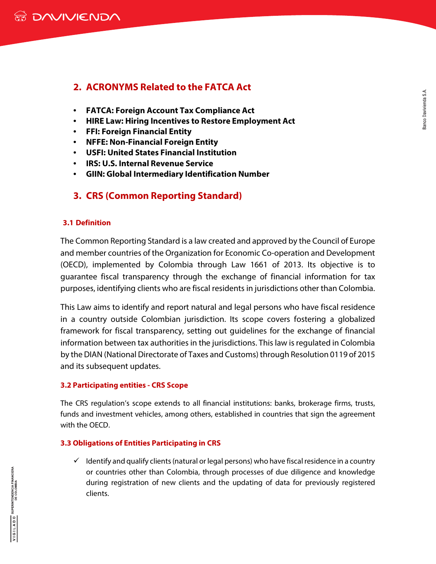# **2. ACRONYMS Related to the FATCA Act**

- **FATCA: Foreign Account Tax Compliance Act**
- **HIRE Law: Hiring Incentives to Restore Employment Act**
- **FFI: Foreign Financial Entity**
- **NFFE: Non-Financial Foreign Entity**
- **USFI: United States Financial Institution**
- **IRS: U.S. Internal Revenue Service**
- **GIIN: Global Intermediary Identification Number**

# **3. CRS (Common Reporting Standard)**

### **3.1 Definition**

The Common Reporting Standard is a law created and approved by the Council of Europe and member countries of the Organization for Economic Co-operation and Development (OECD), implemented by Colombia through Law 1661 of 2013. Its objective is to guarantee fiscal transparency through the exchange of financial information for tax purposes, identifying clients who are fiscal residents in jurisdictions other than Colombia.

This Law aims to identify and report natural and legal persons who have fiscal residence in a country outside Colombian jurisdiction. Its scope covers fostering a globalized framework for fiscal transparency, setting out guidelines for the exchange of financial information between tax authorities in the jurisdictions. This law is regulated in Colombia by the DIAN (National Directorate of Taxes and Customs) through Resolution 0119 of 2015 and its subsequent updates.

### **3.2 Participating entities - CRS Scope**

The CRS regulation's scope extends to all financial institutions: banks, brokerage firms, trusts, funds and investment vehicles, among others, established in countries that sign the agreement with the OECD.

## **3.3 Obligations of Entities Participating in CRS**

 $\checkmark$  Identify and qualify clients (natural or legal persons) who have fiscal residence in a country or countries other than Colombia, through processes of due diligence and knowledge during registration of new clients and the updating of data for previously registered clients.